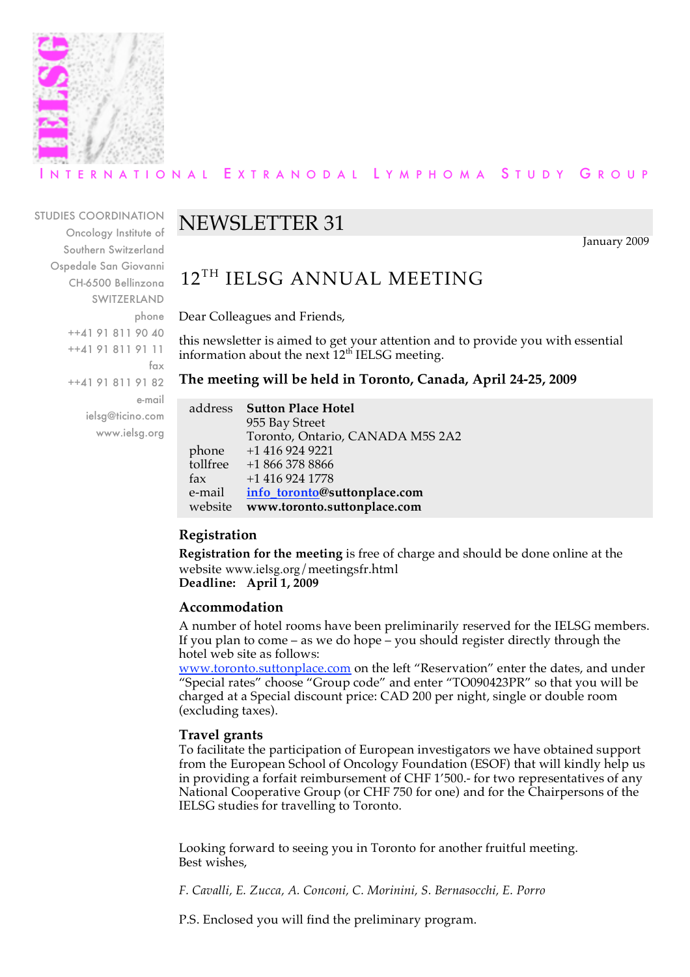

### R N A T I O N A L E X T R A N O D A L L Y M P H O M A S T U D Y G R O U P

STUDIES COORDINATION Oncology Institute of Southern Switzerland Ospedale San Giovanni CH-6500 Bellinzona SWITZERLAND phone ++41 91 811 90 40 ++41 91 811 91 11 fax ++41 91 811 91 82 e-mail ielsg@ticino.com www.ielsg.org

## NEWSLETTER 31

January 2009

## 12<sup>TH</sup> IELSG ANNUAL MEETING

Dear Colleagues and Friends,

this newsletter is aimed to get your attention and to provide you with essential information about the next  $12<sup>th</sup>$  IELSG meeting.

**The meeting will be held in Toronto, Canada, April 24-25, 2009**

| address  | <b>Sutton Place Hotel</b>        |
|----------|----------------------------------|
|          | 955 Bay Street                   |
|          | Toronto, Ontario, CANADA M5S 2A2 |
| phone    | $+1$ 416 924 9221                |
| tollfree | $+18663788866$                   |
| fax      | $+1$ 416 924 1778                |
| e-mail   | info toronto@suttonplace.com     |
| website  | www.toronto.suttonplace.com      |

#### **Registration**

**Registration for the meeting** is free of charge and should be done online at the website www.ielsg.org/meetingsfr.html **Deadline: April 1, 2009**

#### **Accommodation**

A number of hotel rooms have been preliminarily reserved for the IELSG members. If you plan to come – as we do hope – you should register directly through the hotel web site as follows:

www.toronto.suttonplace.com on the left "Reservation" enter the dates, and under "Special rates" choose "Group code" and enter "TO090423PR" so that you will be charged at a Special discount price: CAD 200 per night, single or double room (excluding taxes).

#### **Travel grants**

To facilitate the participation of European investigators we have obtained support from the European School of Oncology Foundation (ESOF) that will kindly help us in providing a forfait reimbursement of CHF 1'500.- for two representatives of any National Cooperative Group (or CHF 750 for one) and for the Chairpersons of the IELSG studies for travelling to Toronto.

Looking forward to seeing you in Toronto for another fruitful meeting. Best wishes,

*F. Cavalli, E. Zucca, A. Conconi, C. Morinini, S. Bernasocchi, E. Porro*

P.S. Enclosed you will find the preliminary program.